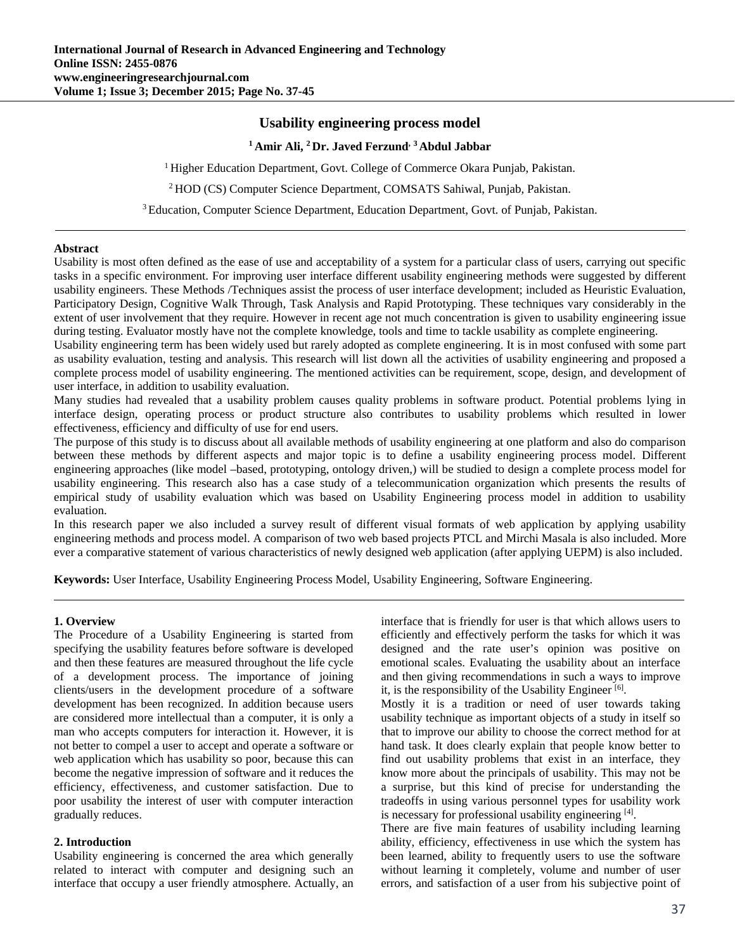# **Usability engineering process model**

## **1 Amir Ali, 2 Dr. Javed Ferzund, 3 Abdul Jabbar**

<sup>1</sup> Higher Education Department, Govt. College of Commerce Okara Punjab, Pakistan.

2 HOD (CS) Computer Science Department, COMSATS Sahiwal, Punjab, Pakistan.

<sup>3</sup> Education, Computer Science Department, Education Department, Govt. of Punjab, Pakistan.

#### **Abstract**

Usability is most often defined as the ease of use and acceptability of a system for a particular class of users, carrying out specific tasks in a specific environment. For improving user interface different usability engineering methods were suggested by different usability engineers. These Methods /Techniques assist the process of user interface development; included as Heuristic Evaluation, Participatory Design, Cognitive Walk Through, Task Analysis and Rapid Prototyping. These techniques vary considerably in the extent of user involvement that they require. However in recent age not much concentration is given to usability engineering issue during testing. Evaluator mostly have not the complete knowledge, tools and time to tackle usability as complete engineering.

Usability engineering term has been widely used but rarely adopted as complete engineering. It is in most confused with some part as usability evaluation, testing and analysis. This research will list down all the activities of usability engineering and proposed a complete process model of usability engineering. The mentioned activities can be requirement, scope, design, and development of user interface, in addition to usability evaluation.

Many studies had revealed that a usability problem causes quality problems in software product. Potential problems lying in interface design, operating process or product structure also contributes to usability problems which resulted in lower effectiveness, efficiency and difficulty of use for end users.

The purpose of this study is to discuss about all available methods of usability engineering at one platform and also do comparison between these methods by different aspects and major topic is to define a usability engineering process model. Different engineering approaches (like model –based, prototyping, ontology driven,) will be studied to design a complete process model for usability engineering. This research also has a case study of a telecommunication organization which presents the results of empirical study of usability evaluation which was based on Usability Engineering process model in addition to usability evaluation.

In this research paper we also included a survey result of different visual formats of web application by applying usability engineering methods and process model. A comparison of two web based projects PTCL and Mirchi Masala is also included. More ever a comparative statement of various characteristics of newly designed web application (after applying UEPM) is also included.

**Keywords:** User Interface, Usability Engineering Process Model, Usability Engineering, Software Engineering.

#### **1. Overview**

The Procedure of a Usability Engineering is started from specifying the usability features before software is developed and then these features are measured throughout the life cycle of a development process. The importance of joining clients/users in the development procedure of a software development has been recognized. In addition because users are considered more intellectual than a computer, it is only a man who accepts computers for interaction it. However, it is not better to compel a user to accept and operate a software or web application which has usability so poor, because this can become the negative impression of software and it reduces the efficiency, effectiveness, and customer satisfaction. Due to poor usability the interest of user with computer interaction gradually reduces.

#### **2. Introduction**

Usability engineering is concerned the area which generally related to interact with computer and designing such an interface that occupy a user friendly atmosphere. Actually, an interface that is friendly for user is that which allows users to efficiently and effectively perform the tasks for which it was designed and the rate user's opinion was positive on emotional scales. Evaluating the usability about an interface and then giving recommendations in such a ways to improve it, is the responsibility of the Usability Engineer  $[6]$ .

Mostly it is a tradition or need of user towards taking usability technique as important objects of a study in itself so that to improve our ability to choose the correct method for at hand task. It does clearly explain that people know better to find out usability problems that exist in an interface, they know more about the principals of usability. This may not be a surprise, but this kind of precise for understanding the tradeoffs in using various personnel types for usability work is necessary for professional usability engineering [4].

There are five main features of usability including learning ability, efficiency, effectiveness in use which the system has been learned, ability to frequently users to use the software without learning it completely, volume and number of user errors, and satisfaction of a user from his subjective point of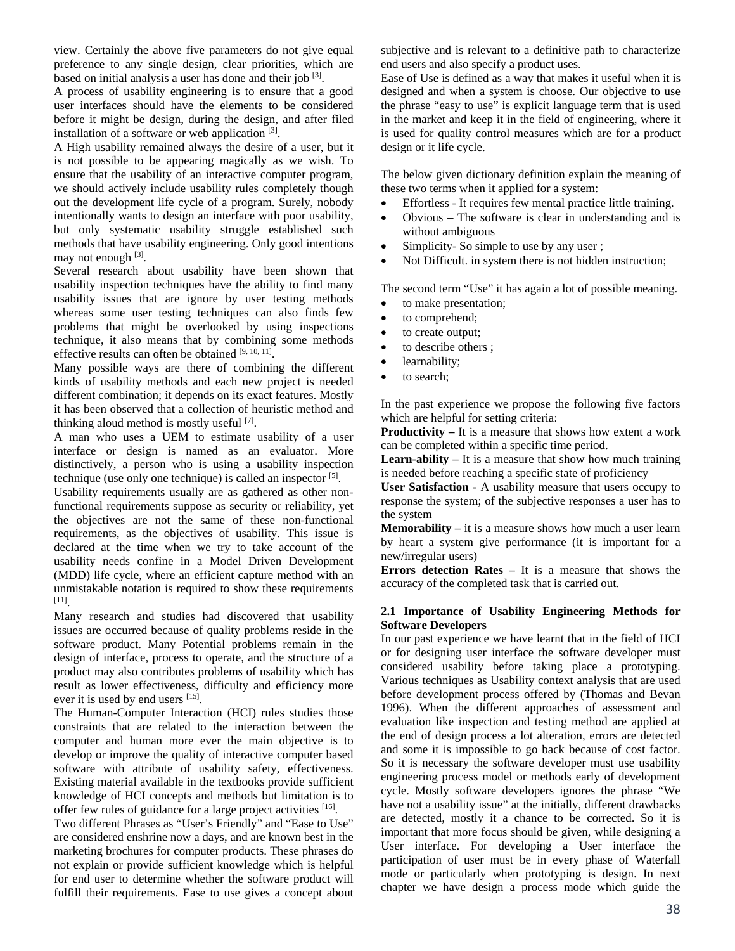view. Certainly the above five parameters do not give equal preference to any single design, clear priorities, which are based on initial analysis a user has done and their job  $[3]$ .

A process of usability engineering is to ensure that a good user interfaces should have the elements to be considered before it might be design, during the design, and after filed installation of a software or web application [3].

A High usability remained always the desire of a user, but it is not possible to be appearing magically as we wish. To ensure that the usability of an interactive computer program, we should actively include usability rules completely though out the development life cycle of a program. Surely, nobody intentionally wants to design an interface with poor usability, but only systematic usability struggle established such methods that have usability engineering. Only good intentions may not enough [3].

Several research about usability have been shown that usability inspection techniques have the ability to find many usability issues that are ignore by user testing methods whereas some user testing techniques can also finds few problems that might be overlooked by using inspections technique, it also means that by combining some methods effective results can often be obtained  $[9, 10, 11]$ .

Many possible ways are there of combining the different kinds of usability methods and each new project is needed different combination; it depends on its exact features. Mostly it has been observed that a collection of heuristic method and thinking aloud method is mostly useful [7].

A man who uses a UEM to estimate usability of a user interface or design is named as an evaluator. More distinctively, a person who is using a usability inspection technique (use only one technique) is called an inspector  $[5]$ .

Usability requirements usually are as gathered as other nonfunctional requirements suppose as security or reliability, yet the objectives are not the same of these non-functional requirements, as the objectives of usability. This issue is declared at the time when we try to take account of the usability needs confine in a Model Driven Development (MDD) life cycle, where an efficient capture method with an unmistakable notation is required to show these requirements [11].

Many research and studies had discovered that usability issues are occurred because of quality problems reside in the software product. Many Potential problems remain in the design of interface, process to operate, and the structure of a product may also contributes problems of usability which has result as lower effectiveness, difficulty and efficiency more ever it is used by end users [15].

The Human-Computer Interaction (HCI) rules studies those constraints that are related to the interaction between the computer and human more ever the main objective is to develop or improve the quality of interactive computer based software with attribute of usability safety, effectiveness. Existing material available in the textbooks provide sufficient knowledge of HCI concepts and methods but limitation is to offer few rules of guidance for a large project activities [16].

Two different Phrases as "User's Friendly" and "Ease to Use" are considered enshrine now a days, and are known best in the marketing brochures for computer products. These phrases do not explain or provide sufficient knowledge which is helpful for end user to determine whether the software product will fulfill their requirements. Ease to use gives a concept about subjective and is relevant to a definitive path to characterize end users and also specify a product uses.

Ease of Use is defined as a way that makes it useful when it is designed and when a system is choose. Our objective to use the phrase "easy to use" is explicit language term that is used in the market and keep it in the field of engineering, where it is used for quality control measures which are for a product design or it life cycle.

The below given dictionary definition explain the meaning of these two terms when it applied for a system:

- Effortless It requires few mental practice little training.
- Obvious The software is clear in understanding and is without ambiguous
- Simplicity- So simple to use by any user ;
- Not Difficult. in system there is not hidden instruction;

The second term "Use" it has again a lot of possible meaning.

- to make presentation;
- to comprehend;
- to create output;
- to describe others ;
- learnability;
- to search;

In the past experience we propose the following five factors which are helpful for setting criteria:

**Productivity –** It is a measure that shows how extent a work can be completed within a specific time period.

**Learn-ability –** It is a measure that show how much training is needed before reaching a specific state of proficiency

**User Satisfaction -** A usability measure that users occupy to response the system; of the subjective responses a user has to the system

**Memorability –** it is a measure shows how much a user learn by heart a system give performance (it is important for a new/irregular users)

**Errors detection Rates –** It is a measure that shows the accuracy of the completed task that is carried out.

### **2.1 Importance of Usability Engineering Methods for Software Developers**

In our past experience we have learnt that in the field of HCI or for designing user interface the software developer must considered usability before taking place a prototyping. Various techniques as Usability context analysis that are used before development process offered by (Thomas and Bevan 1996). When the different approaches of assessment and evaluation like inspection and testing method are applied at the end of design process a lot alteration, errors are detected and some it is impossible to go back because of cost factor. So it is necessary the software developer must use usability engineering process model or methods early of development cycle. Mostly software developers ignores the phrase "We have not a usability issue" at the initially, different drawbacks are detected, mostly it a chance to be corrected. So it is important that more focus should be given, while designing a User interface. For developing a User interface the participation of user must be in every phase of Waterfall mode or particularly when prototyping is design. In next chapter we have design a process mode which guide the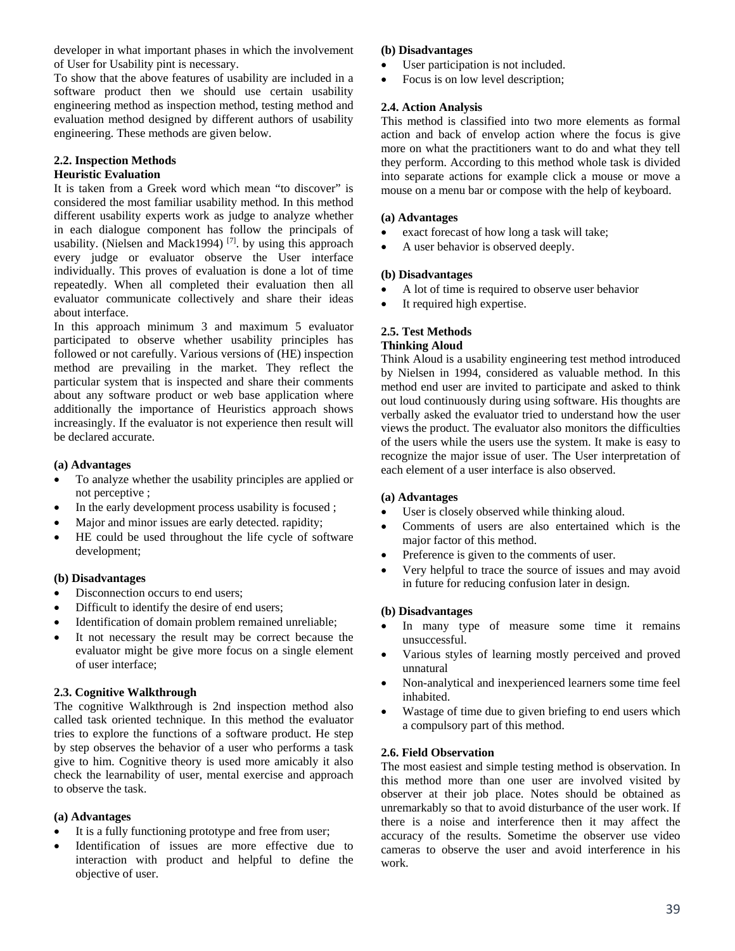developer in what important phases in which the involvement of User for Usability pint is necessary.

To show that the above features of usability are included in a software product then we should use certain usability engineering method as inspection method, testing method and evaluation method designed by different authors of usability engineering. These methods are given below.

# **2.2. Inspection Methods**

# **Heuristic Evaluation**

It is taken from a Greek word which mean "to discover" is considered the most familiar usability method. In this method different usability experts work as judge to analyze whether in each dialogue component has follow the principals of usability. (Nielsen and Mack1994)<sup>[7]</sup>. by using this approach every judge or evaluator observe the User interface individually. This proves of evaluation is done a lot of time repeatedly. When all completed their evaluation then all evaluator communicate collectively and share their ideas about interface.

In this approach minimum 3 and maximum 5 evaluator participated to observe whether usability principles has followed or not carefully. Various versions of (HE) inspection method are prevailing in the market. They reflect the particular system that is inspected and share their comments about any software product or web base application where additionally the importance of Heuristics approach shows increasingly. If the evaluator is not experience then result will be declared accurate.

# **(a) Advantages**

- To analyze whether the usability principles are applied or not perceptive ;
- In the early development process usability is focused;
- Major and minor issues are early detected. rapidity;
- HE could be used throughout the life cycle of software development;

# **(b) Disadvantages**

- Disconnection occurs to end users;
- Difficult to identify the desire of end users;
- Identification of domain problem remained unreliable;
- It not necessary the result may be correct because the evaluator might be give more focus on a single element of user interface;

# **2.3. Cognitive Walkthrough**

The cognitive Walkthrough is 2nd inspection method also called task oriented technique. In this method the evaluator tries to explore the functions of a software product. He step by step observes the behavior of a user who performs a task give to him. Cognitive theory is used more amicably it also check the learnability of user, mental exercise and approach to observe the task.

# **(a) Advantages**

- It is a fully functioning prototype and free from user;
- Identification of issues are more effective due to interaction with product and helpful to define the objective of user.

### **(b) Disadvantages**

- User participation is not included.
- Focus is on low level description;

# **2.4. Action Analysis**

This method is classified into two more elements as formal action and back of envelop action where the focus is give more on what the practitioners want to do and what they tell they perform. According to this method whole task is divided into separate actions for example click a mouse or move a mouse on a menu bar or compose with the help of keyboard.

# **(a) Advantages**

- exact forecast of how long a task will take;
- A user behavior is observed deeply.

### **(b) Disadvantages**

- A lot of time is required to observe user behavior
- It required high expertise.

# **2.5. Test Methods**

### **Thinking Aloud**

Think Aloud is a usability engineering test method introduced by Nielsen in 1994, considered as valuable method. In this method end user are invited to participate and asked to think out loud continuously during using software. His thoughts are verbally asked the evaluator tried to understand how the user views the product. The evaluator also monitors the difficulties of the users while the users use the system. It make is easy to recognize the major issue of user. The User interpretation of each element of a user interface is also observed.

# **(a) Advantages**

- User is closely observed while thinking aloud.
- Comments of users are also entertained which is the major factor of this method.
- Preference is given to the comments of user.
- Very helpful to trace the source of issues and may avoid in future for reducing confusion later in design.

# **(b) Disadvantages**

- In many type of measure some time it remains unsuccessful.
- Various styles of learning mostly perceived and proved unnatural
- Non-analytical and inexperienced learners some time feel inhabited.
- Wastage of time due to given briefing to end users which a compulsory part of this method.

# **2.6. Field Observation**

The most easiest and simple testing method is observation. In this method more than one user are involved visited by observer at their job place. Notes should be obtained as unremarkably so that to avoid disturbance of the user work. If there is a noise and interference then it may affect the accuracy of the results. Sometime the observer use video cameras to observe the user and avoid interference in his work.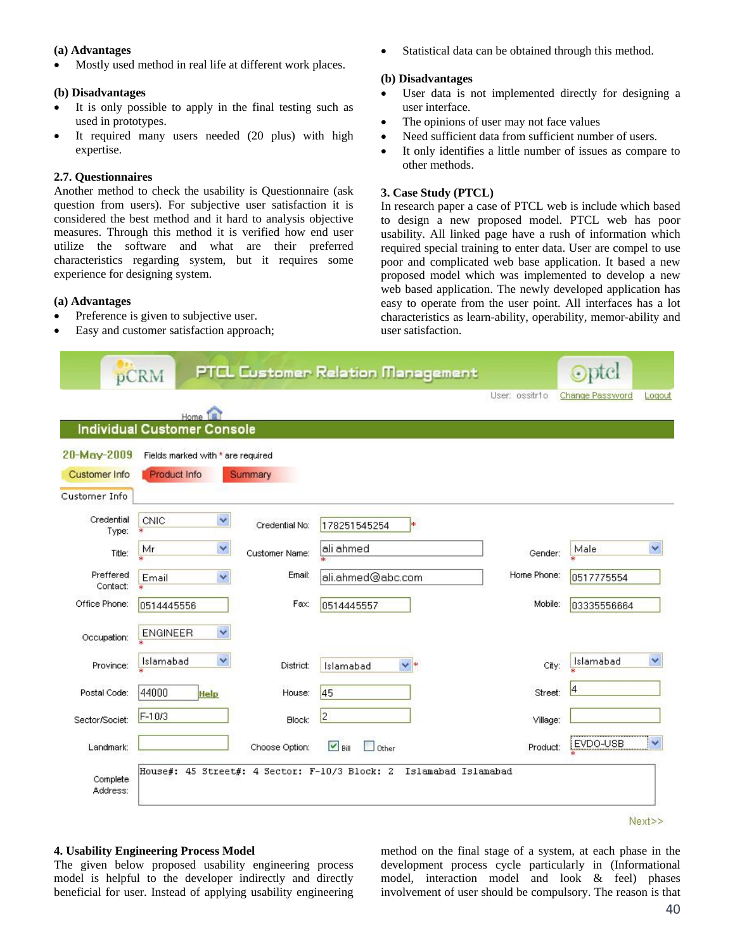#### **(a) Advantages**

Mostly used method in real life at different work places.

#### **(b) Disadvantages**

- It is only possible to apply in the final testing such as used in prototypes.
- It required many users needed (20 plus) with high expertise.

#### **2.7. Questionnaires**

Another method to check the usability is Questionnaire (ask question from users). For subjective user satisfaction it is considered the best method and it hard to analysis objective measures. Through this method it is verified how end user utilize the software and what are their preferred characteristics regarding system, but it requires some experience for designing system.

# **(a) Advantages**

- Preference is given to subjective user.
- Easy and customer satisfaction approach;

Statistical data can be obtained through this method.

#### **(b) Disadvantages**

- User data is not implemented directly for designing a user interface.
- The opinions of user may not face values
- Need sufficient data from sufficient number of users.
- It only identifies a little number of issues as compare to other methods.

## **3. Case Study (PTCL)**

In research paper a case of PTCL web is include which based to design a new proposed model. PTCL web has poor usability. All linked page have a rush of information which required special training to enter data. User are compel to use poor and complicated web base application. It based a new proposed model which was implemented to develop a new web based application. The newly developed application has easy to operate from the user point. All interfaces has a lot characteristics as learn-ability, operability, memor-ability and user satisfaction.

|                       | pCRM                                          |                | <b>PTCL Customer Relation Management</b> | User: ossitr1o |                 | Logout                  |
|-----------------------|-----------------------------------------------|----------------|------------------------------------------|----------------|-----------------|-------------------------|
|                       | Home 1                                        |                |                                          |                | Change Password |                         |
|                       | <b>Individual Customer Console</b>            |                |                                          |                |                 |                         |
| 20-May-2009           | Fields marked with * are required             |                |                                          |                |                 |                         |
| <b>Customer Info</b>  | Product Info                                  | Summary        |                                          |                |                 |                         |
| Customer Info         |                                               |                |                                          |                |                 |                         |
| Credential<br>Type:   | $\ddot{\phantom{1}}$<br>CNIC<br>₩             | Credential No: | 178251545254<br>∗                        |                |                 |                         |
| Title:                | Y<br>Mr                                       | Customer Name: | ali ahmed                                | Gender:        | Male            | $\overline{\mathbf{v}}$ |
| Preffered<br>Contact: | $\checkmark$<br>Email                         | Ernail:        | ali.ahmed@abc.com                        | Home Phone:    | 0517775554      |                         |
| Office Phone:         | 0514445556                                    | Fax:           | 0514445557                               | Mobile:        | 03335556664     |                         |
| Occupation:           | $\checkmark$<br><b>ENGINEER</b>               |                |                                          |                |                 |                         |
| Province:             | ×<br>Islamabad                                | District:      | $\vee$ *<br>Islamabad                    | City:          | Islamabad       | $\checkmark$            |
| Postal Code:          | 44000<br>Help                                 | House:         | 45                                       | Street:        |                 |                         |
| Sector/Societ:        | F-10/3                                        | Block:         | $\overline{2}$                           | Village:       |                 |                         |
| Landmark:             |                                               | Choose Option: | $\triangledown$ Bill<br>Other            | Product:       | EVDO-USB        | ٧                       |
| Complete<br>Address:  | House#: 45 Street#: 4 Sector: F-10/3 Block: 2 |                | Islamabad Islamabad                      |                |                 |                         |

#### Next>>

#### **4. Usability Engineering Process Model**

The given below proposed usability engineering process model is helpful to the developer indirectly and directly beneficial for user. Instead of applying usability engineering method on the final stage of a system, at each phase in the development process cycle particularly in (Informational model, interaction model and look & feel) phases involvement of user should be compulsory. The reason is that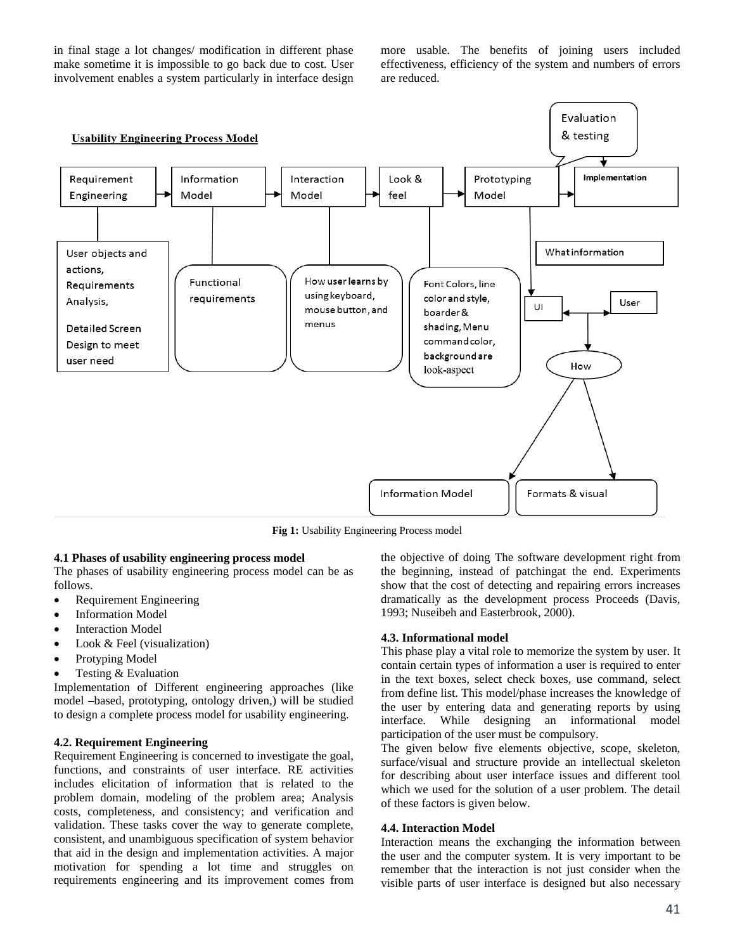in final stage a lot changes/ modification in different phase make sometime it is impossible to go back due to cost. User involvement enables a system particularly in interface design more usable. The benefits of joining users included effectiveness, efficiency of the system and numbers of errors are reduced.



**Fig 1:** Usability Engineering Process model

#### **4.1 Phases of usability engineering process model**

The phases of usability engineering process model can be as follows.

- Requirement Engineering
- Information Model
- Interaction Model
- Look & Feel (visualization)
- Protyping Model
- Testing & Evaluation

Implementation of Different engineering approaches (like model –based, prototyping, ontology driven,) will be studied to design a complete process model for usability engineering.

#### **4.2. Requirement Engineering**

Requirement Engineering is concerned to investigate the goal, functions, and constraints of user interface. RE activities includes elicitation of information that is related to the problem domain, modeling of the problem area; Analysis costs, completeness, and consistency; and verification and validation. These tasks cover the way to generate complete, consistent, and unambiguous specification of system behavior that aid in the design and implementation activities. A major motivation for spending a lot time and struggles on requirements engineering and its improvement comes from

the objective of doing The software development right from the beginning, instead of patchingat the end. Experiments show that the cost of detecting and repairing errors increases dramatically as the development process Proceeds (Davis, 1993; Nuseibeh and Easterbrook, 2000).

#### **4.3. Informational model**

This phase play a vital role to memorize the system by user. It contain certain types of information a user is required to enter in the text boxes, select check boxes, use command, select from define list. This model/phase increases the knowledge of the user by entering data and generating reports by using interface. While designing an informational model participation of the user must be compulsory.

The given below five elements objective, scope, skeleton, surface/visual and structure provide an intellectual skeleton for describing about user interface issues and different tool which we used for the solution of a user problem. The detail of these factors is given below.

#### **4.4. Interaction Model**

Interaction means the exchanging the information between the user and the computer system. It is very important to be remember that the interaction is not just consider when the visible parts of user interface is designed but also necessary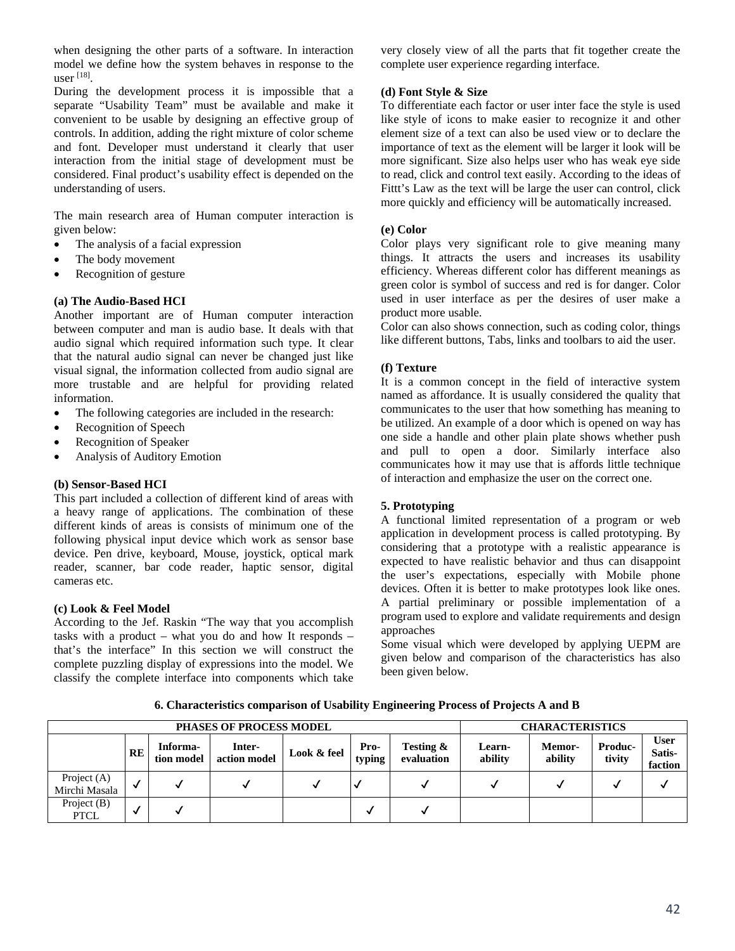when designing the other parts of a software. In interaction model we define how the system behaves in response to the user  $^{[18]}$ .

During the development process it is impossible that a separate "Usability Team" must be available and make it convenient to be usable by designing an effective group of controls. In addition, adding the right mixture of color scheme and font. Developer must understand it clearly that user interaction from the initial stage of development must be considered. Final product's usability effect is depended on the understanding of users.

The main research area of Human computer interaction is given below:

- The analysis of a facial expression
- The body movement
- Recognition of gesture

### **(a) The Audio-Based HCI**

Another important are of Human computer interaction between computer and man is audio base. It deals with that audio signal which required information such type. It clear that the natural audio signal can never be changed just like visual signal, the information collected from audio signal are more trustable and are helpful for providing related information.

- The following categories are included in the research:
- Recognition of Speech
- Recognition of Speaker
- Analysis of Auditory Emotion

#### **(b) Sensor-Based HCI**

This part included a collection of different kind of areas with a heavy range of applications. The combination of these different kinds of areas is consists of minimum one of the following physical input device which work as sensor base device. Pen drive, keyboard, Mouse, joystick, optical mark reader, scanner, bar code reader, haptic sensor, digital cameras etc.

#### **(c) Look & Feel Model**

According to the Jef. Raskin "The way that you accomplish tasks with a product – what you do and how It responds – that's the interface" In this section we will construct the complete puzzling display of expressions into the model. We classify the complete interface into components which take

very closely view of all the parts that fit together create the complete user experience regarding interface.

#### **(d) Font Style & Size**

To differentiate each factor or user inter face the style is used like style of icons to make easier to recognize it and other element size of a text can also be used view or to declare the importance of text as the element will be larger it look will be more significant. Size also helps user who has weak eye side to read, click and control text easily. According to the ideas of Fittt's Law as the text will be large the user can control, click more quickly and efficiency will be automatically increased.

#### **(e) Color**

Color plays very significant role to give meaning many things. It attracts the users and increases its usability efficiency. Whereas different color has different meanings as green color is symbol of success and red is for danger. Color used in user interface as per the desires of user make a product more usable.

Color can also shows connection, such as coding color, things like different buttons, Tabs, links and toolbars to aid the user.

#### **(f) Texture**

It is a common concept in the field of interactive system named as affordance. It is usually considered the quality that communicates to the user that how something has meaning to be utilized. An example of a door which is opened on way has one side a handle and other plain plate shows whether push and pull to open a door. Similarly interface also communicates how it may use that is affords little technique of interaction and emphasize the user on the correct one.

# **5. Prototyping**

A functional limited representation of a program or web application in development process is called prototyping. By considering that a prototype with a realistic appearance is expected to have realistic behavior and thus can disappoint the user's expectations, especially with Mobile phone devices. Often it is better to make prototypes look like ones. A partial preliminary or possible implementation of a program used to explore and validate requirements and design approaches

Some visual which were developed by applying UEPM are given below and comparison of the characteristics has also been given below.

| <b>PHASES OF PROCESS MODEL</b> |           |                        |                        |             |                      |                         | <b>CHARACTERISTICS</b> |                   |                   |                                  |
|--------------------------------|-----------|------------------------|------------------------|-------------|----------------------|-------------------------|------------------------|-------------------|-------------------|----------------------------------|
|                                | <b>RE</b> | Informa-<br>tion model | Inter-<br>action model | Look & feel | Pro-<br>typing       | Testing &<br>evaluation | Learn-<br>ability      | Memor-<br>ability | Produc-<br>tivity | <b>User</b><br>Satis-<br>faction |
| Project (A)<br>Mirchi Masala   | √         |                        |                        |             |                      |                         |                        |                   |                   |                                  |
| Project $(B)$<br><b>PTCL</b>   | √         |                        |                        |             | $\ddot{\phantom{0}}$ | v                       |                        |                   |                   |                                  |

**6. Characteristics comparison of Usability Engineering Process of Projects A and B**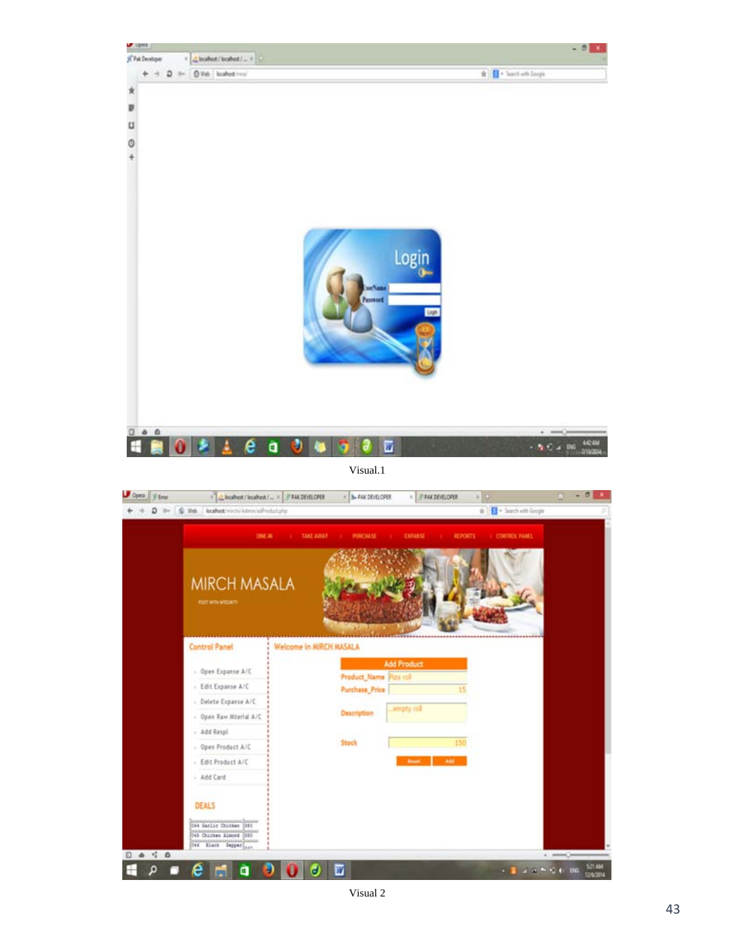

- Edit Product A/C - Add Card

044 Garlie Chicken 1985 045 Chicken Almond 180 **CAE Black Depper ...** 

н

à

01

Θ.

 $\bullet$   $\blacksquare$ 

DEALS

e

**D & T &** 

 $\bullet$   $\bullet$ 

 $\label{eq:3.1} \begin{array}{l} \star \quad \mathbf{B} \quad \text{as} \quad \mathbf{a} \rightarrow \mathbf{C} \quad \text{or} \quad \frac{\mathsf{SINM}}{\mathsf{RINM}} \end{array}$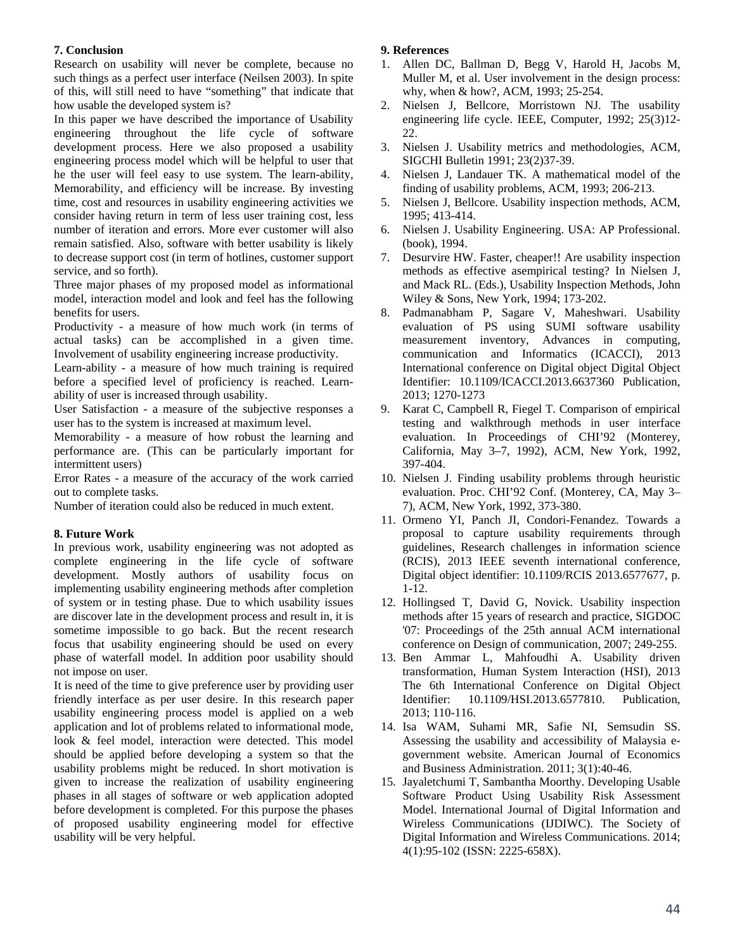# **7. Conclusion**

Research on usability will never be complete, because no such things as a perfect user interface (Neilsen 2003). In spite of this, will still need to have "something" that indicate that how usable the developed system is?

In this paper we have described the importance of Usability engineering throughout the life cycle of software development process. Here we also proposed a usability engineering process model which will be helpful to user that he the user will feel easy to use system. The learn-ability, Memorability, and efficiency will be increase. By investing time, cost and resources in usability engineering activities we consider having return in term of less user training cost, less number of iteration and errors. More ever customer will also remain satisfied. Also, software with better usability is likely to decrease support cost (in term of hotlines, customer support service, and so forth).

Three major phases of my proposed model as informational model, interaction model and look and feel has the following benefits for users.

Productivity - a measure of how much work (in terms of actual tasks) can be accomplished in a given time. Involvement of usability engineering increase productivity.

Learn-ability - a measure of how much training is required before a specified level of proficiency is reached. Learnability of user is increased through usability.

User Satisfaction - a measure of the subjective responses a user has to the system is increased at maximum level.

Memorability - a measure of how robust the learning and performance are. (This can be particularly important for intermittent users)

Error Rates - a measure of the accuracy of the work carried out to complete tasks.

Number of iteration could also be reduced in much extent.

# **8. Future Work**

In previous work, usability engineering was not adopted as complete engineering in the life cycle of software development. Mostly authors of usability focus on implementing usability engineering methods after completion of system or in testing phase. Due to which usability issues are discover late in the development process and result in, it is sometime impossible to go back. But the recent research focus that usability engineering should be used on every phase of waterfall model. In addition poor usability should not impose on user.

It is need of the time to give preference user by providing user friendly interface as per user desire. In this research paper usability engineering process model is applied on a web application and lot of problems related to informational mode, look & feel model, interaction were detected. This model should be applied before developing a system so that the usability problems might be reduced. In short motivation is given to increase the realization of usability engineering phases in all stages of software or web application adopted before development is completed. For this purpose the phases of proposed usability engineering model for effective usability will be very helpful.

## **9. References**

- 1. Allen DC, Ballman D, Begg V, Harold H, Jacobs M, Muller M, et al. User involvement in the design process: why, when & how?, ACM, 1993; 25-254.
- 2. Nielsen J, Bellcore, Morristown NJ. The usability engineering life cycle. IEEE, Computer, 1992; 25(3)12- 22.
- 3. Nielsen J. Usability metrics and methodologies, ACM, SIGCHI Bulletin 1991; 23(2)37-39.
- 4. Nielsen J, Landauer TK. A mathematical model of the finding of usability problems, ACM, 1993; 206-213.
- 5. Nielsen J, Bellcore. Usability inspection methods, ACM, 1995; 413-414.
- 6. Nielsen J. Usability Engineering. USA: AP Professional. (book), 1994.
- 7. Desurvire HW. Faster, cheaper!! Are usability inspection methods as effective asempirical testing? In Nielsen J, and Mack RL. (Eds.), Usability Inspection Methods, John Wiley & Sons, New York, 1994; 173-202.
- 8. Padmanabham P, Sagare V, Maheshwari. Usability evaluation of PS using SUMI software usability measurement inventory, Advances in computing, communication and Informatics (ICACCI), 2013 International conference on Digital object Digital Object Identifier: 10.1109/ICACCI.2013.6637360 Publication, 2013; 1270-1273
- 9. Karat C, Campbell R, Fiegel T. Comparison of empirical testing and walkthrough methods in user interface evaluation. In Proceedings of CHI'92 (Monterey, California, May 3–7, 1992), ACM, New York, 1992, 397-404.
- 10. Nielsen J. Finding usability problems through heuristic evaluation. Proc. CHI'92 Conf. (Monterey, CA, May 3– 7), ACM, New York, 1992, 373-380.
- 11. Ormeno YI, Panch JI, Condori-Fenandez. Towards a proposal to capture usability requirements through guidelines, Research challenges in information science (RCIS), 2013 IEEE seventh international conference, Digital object identifier: 10.1109/RCIS 2013.6577677, p. 1-12.
- 12. Hollingsed T, David G, Novick. Usability inspection methods after 15 years of research and practice, SIGDOC '07: Proceedings of the 25th annual ACM international conference on Design of communication, 2007; 249-255.
- 13. Ben Ammar L, Mahfoudhi A. Usability driven transformation, Human System Interaction (HSI), 2013 The 6th International Conference on Digital Object Identifier: 10.1109/HSI.2013.6577810. Publication, 2013; 110-116.
- 14. Isa WAM, Suhami MR, Safie NI, Semsudin SS. Assessing the usability and accessibility of Malaysia egovernment website. American Journal of Economics and Business Administration. 2011; 3(1):40-46.
- 15. Jayaletchumi T, Sambantha Moorthy. Developing Usable Software Product Using Usability Risk Assessment Model. International Journal of Digital Information and Wireless Communications (IJDIWC). The Society of Digital Information and Wireless Communications. 2014; 4(1):95-102 (ISSN: 2225-658X).